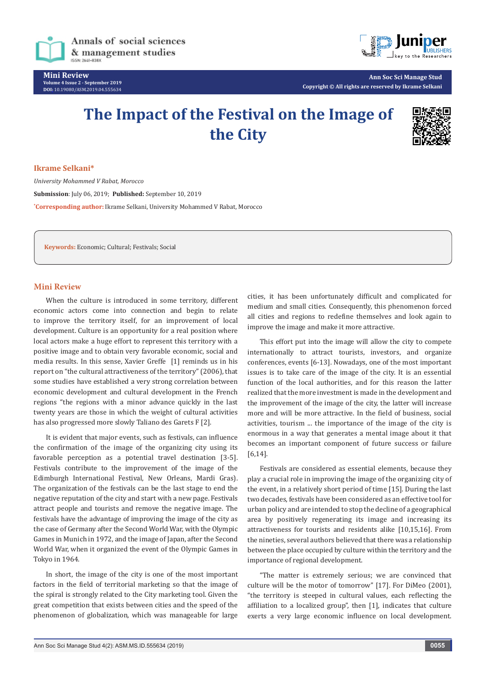

**Mini Review Volume 4 Issue 2 - September 2019 DOI:** [10.19080/ASM.2019.04.555634](http://dx.doi.org/10.19080/ASM.2019.04.555634)



**Ann Soc Sci Manage Stud Copyright © All rights are reserved by Ikrame Selkani**

# **The Impact of the Festival on the Image of the City**



#### **Ikrame Selkani\***

*University Mohammed V Rabat, Morocco* **Submission**: July 06, 2019; **Published:** September 10, 2019 **\* Corresponding author:** Ikrame Selkani, University Mohammed V Rabat, Morocco

**Keywords:** Economic; Cultural; Festivals; Social

## **Mini Review**

When the culture is introduced in some territory, different economic actors come into connection and begin to relate to improve the territory itself, for an improvement of local development. Culture is an opportunity for a real position where local actors make a huge effort to represent this territory with a positive image and to obtain very favorable economic, social and media results. In this sense, Xavier Greffe [1] reminds us in his report on "the cultural attractiveness of the territory" (2006), that some studies have established a very strong correlation between economic development and cultural development in the French regions "the regions with a minor advance quickly in the last twenty years are those in which the weight of cultural activities has also progressed more slowly Taliano des Garets F [2].

It is evident that major events, such as festivals, can influence the confirmation of the image of the organizing city using its favorable perception as a potential travel destination [3-5]. Festivals contribute to the improvement of the image of the Edimburgh International Festival, New Orleans, Mardi Gras). The organization of the festivals can be the last stage to end the negative reputation of the city and start with a new page. Festivals attract people and tourists and remove the negative image. The festivals have the advantage of improving the image of the city as the case of Germany after the Second World War, with the Olympic Games in Munich in 1972, and the image of Japan, after the Second World War, when it organized the event of the Olympic Games in Tokyo in 1964.

In short, the image of the city is one of the most important factors in the field of territorial marketing so that the image of the spiral is strongly related to the City marketing tool. Given the great competition that exists between cities and the speed of the phenomenon of globalization, which was manageable for large

cities, it has been unfortunately difficult and complicated for medium and small cities. Consequently, this phenomenon forced all cities and regions to redefine themselves and look again to improve the image and make it more attractive.

This effort put into the image will allow the city to compete internationally to attract tourists, investors, and organize conferences, events [6-13]. Nowadays, one of the most important issues is to take care of the image of the city. It is an essential function of the local authorities, and for this reason the latter realized that the more investment is made in the development and the improvement of the image of the city, the latter will increase more and will be more attractive. In the field of business, social activities, tourism ... the importance of the image of the city is enormous in a way that generates a mental image about it that becomes an important component of future success or failure [6,14].

Festivals are considered as essential elements, because they play a crucial role in improving the image of the organizing city of the event, in a relatively short period of time [15]. During the last two decades, festivals have been considered as an effective tool for urban policy and are intended to stop the decline of a geographical area by positively regenerating its image and increasing its attractiveness for tourists and residents alike [10,15,16]. From the nineties, several authors believed that there was a relationship between the place occupied by culture within the territory and the importance of regional development.

"The matter is extremely serious; we are convinced that culture will be the motor of tomorrow" [17]. For DiMeo (2001), "the territory is steeped in cultural values, each reflecting the affiliation to a localized group", then [1], indicates that culture exerts a very large economic influence on local development.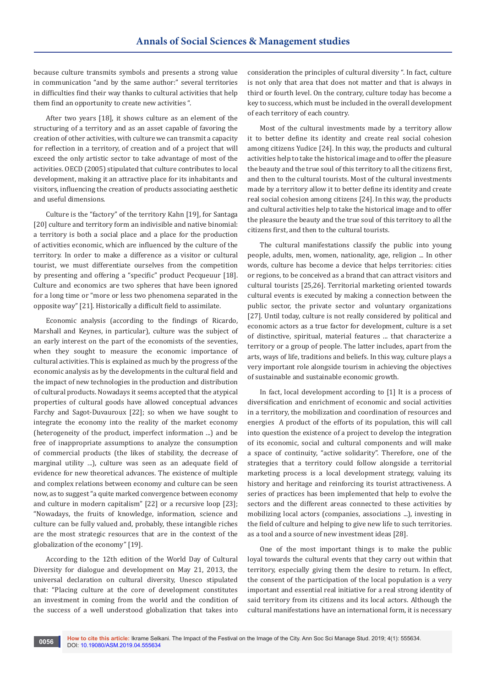because culture transmits symbols and presents a strong value in communication "and by the same author:" several territories in difficulties find their way thanks to cultural activities that help them find an opportunity to create new activities ".

After two years [18], it shows culture as an element of the structuring of a territory and as an asset capable of favoring the creation of other activities, with culture we can transmit a capacity for reflection in a territory, of creation and of a project that will exceed the only artistic sector to take advantage of most of the activities. OECD (2005) stipulated that culture contributes to local development, making it an attractive place for its inhabitants and visitors, influencing the creation of products associating aesthetic and useful dimensions.

Culture is the "factory" of the territory Kahn [19], for Santaga [20] culture and territory form an indivisible and native binomial: a territory is both a social place and a place for the production of activities economic, which are influenced by the culture of the territory. In order to make a difference as a visitor or cultural tourist, we must differentiate ourselves from the competition by presenting and offering a "specific" product Pecqueuur [18]. Culture and economics are two spheres that have been ignored for a long time or "more or less two phenomena separated in the opposite way" [21]. Historically a difficult field to assimilate.

Economic analysis (according to the findings of Ricardo, Marshall and Keynes, in particular), culture was the subject of an early interest on the part of the economists of the seventies, when they sought to measure the economic importance of cultural activities. This is explained as much by the progress of the economic analysis as by the developments in the cultural field and the impact of new technologies in the production and distribution of cultural products. Nowadays it seems accepted that the atypical properties of cultural goods have allowed conceptual advances Farchy and Sagot-Duvauroux [22]; so when we have sought to integrate the economy into the reality of the market economy (heterogeneity of the product, imperfect information ...) and be free of inappropriate assumptions to analyze the consumption of commercial products (the likes of stability, the decrease of marginal utility ...), culture was seen as an adequate field of evidence for new theoretical advances. The existence of multiple and complex relations between economy and culture can be seen now, as to suggest "a quite marked convergence between economy and culture in modern capitalism" [22] or a recursive loop [23]; "Nowadays, the fruits of knowledge, information, science and culture can be fully valued and, probably, these intangible riches are the most strategic resources that are in the context of the globalization of the economy" [19].

According to the 12th edition of the World Day of Cultural Diversity for dialogue and development on May 21, 2013, the universal declaration on cultural diversity, Unesco stipulated that: "Placing culture at the core of development constitutes an investment in coming from the world and the condition of the success of a well understood globalization that takes into

consideration the principles of cultural diversity ". In fact, culture is not only that area that does not matter and that is always in third or fourth level. On the contrary, culture today has become a key to success, which must be included in the overall development of each territory of each country.

Most of the cultural investments made by a territory allow it to better define its identity and create real social cohesion among citizens Yudice [24]. In this way, the products and cultural activities help to take the historical image and to offer the pleasure the beauty and the true soul of this territory to all the citizens first, and then to the cultural tourists. Most of the cultural investments made by a territory allow it to better define its identity and create real social cohesion among citizens [24]. In this way, the products and cultural activities help to take the historical image and to offer the pleasure the beauty and the true soul of this territory to all the citizens first, and then to the cultural tourists.

The cultural manifestations classify the public into young people, adults, men, women, nationality, age, religion ... In other words, culture has become a device that helps territories: cities or regions, to be conceived as a brand that can attract visitors and cultural tourists [25,26]. Territorial marketing oriented towards cultural events is executed by making a connection between the public sector, the private sector and voluntary organizations [27]. Until today, culture is not really considered by political and economic actors as a true factor for development, culture is a set of distinctive, spiritual, material features ... that characterize a territory or a group of people. The latter includes, apart from the arts, ways of life, traditions and beliefs. In this way, culture plays a very important role alongside tourism in achieving the objectives of sustainable and sustainable economic growth.

In fact, local development according to [1] It is a process of diversification and enrichment of economic and social activities in a territory, the mobilization and coordination of resources and energies A product of the efforts of its population, this will call into question the existence of a project to develop the integration of its economic, social and cultural components and will make a space of continuity, "active solidarity". Therefore, one of the strategies that a territory could follow alongside a territorial marketing process is a local development strategy, valuing its history and heritage and reinforcing its tourist attractiveness. A series of practices has been implemented that help to evolve the sectors and the different areas connected to these activities by mobilizing local actors (companies, associations ...), investing in the field of culture and helping to give new life to such territories. as a tool and a source of new investment ideas [28].

One of the most important things is to make the public loyal towards the cultural events that they carry out within that territory, especially giving them the desire to return. In effect, the consent of the participation of the local population is a very important and essential real initiative for a real strong identity of said territory from its citizens and its local actors. Although the cultural manifestations have an international form, it is necessary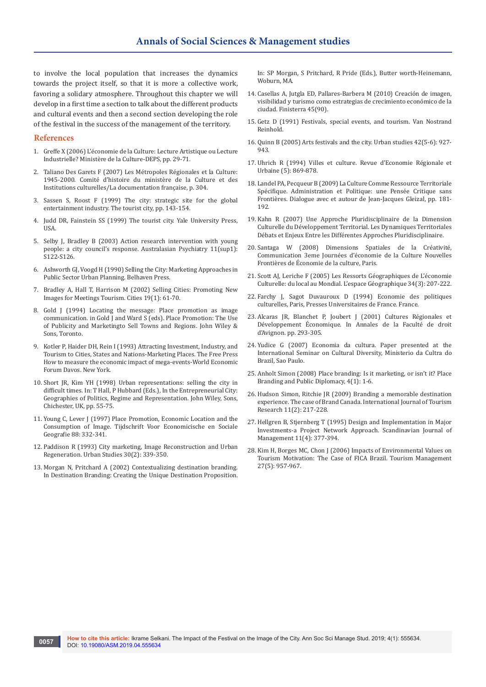to involve the local population that increases the dynamics towards the project itself, so that it is more a collective work, favoring a solidary atmosphere. Throughout this chapter we will develop in a first time a section to talk about the different products and cultural events and then a second section developing the role of the festival in the success of the management of the territory.

#### **References**

- 1. [Greffe X \(2006\) L'économie de la Culture: Lecture Artistique ou Lecture](https://www.cairn.info/creation-et-diversite-au-miroir-des-industries--9782110961976-page-29.htm)  [Industrielle? Ministère de la Culture-DEPS, pp. 29-71.](https://www.cairn.info/creation-et-diversite-au-miroir-des-industries--9782110961976-page-29.htm)
- 2. Taliano Des Garets F (2007) Les Métropoles Régionales et la Culture: 1945-2000. Comité d'histoire du ministère de la Culture et des Institutions culturelles/La documentation française, p. 304.
- 3. Sassen S, Roost F (1999) The city: strategic site for the global entertainment industry. The tourist city, pp. 143-154.
- 4. Judd DR, Fainstein SS (1999) The tourist city. Yale University Press, USA.
- 5. [Selby J, Bradley B \(2003\) Action research intervention with young](https://insights.ovid.com/australasian-psychiatry/auspy/2003/10/001/action-research-intervention-young-people-city/25/00127911)  [people: a city council's response. Australasian Psychiatry 11\(sup1\):](https://insights.ovid.com/australasian-psychiatry/auspy/2003/10/001/action-research-intervention-young-people-city/25/00127911)  S<sub>122-S126</sub>
- 6. Ashworth GJ, Voogd H (1990) Selling the City: Marketing Approaches in Public Sector Urban Planning. Belhaven Press.
- 7. [Bradley A, Hall T, Harrison M \(2002\) Selling Cities: Promoting New](https://www.sciencedirect.com/science/article/pii/S0264275101000464)  [Images for Meetings Tourism. Cities 19\(1\): 61-70.](https://www.sciencedirect.com/science/article/pii/S0264275101000464)
- 8. Gold J (1994) Locating the message: Place promotion as image communication. in Gold J and Ward S (eds). Place Promotion: The Use of Publicity and Marketingto Sell Towns and Regions. John Wiley & Sons, Toronto.
- 9. Kotler P, Haider DH, Rein I (1993) Attracting Investment, Industry, and Tourism to Cities, States and Nations-Marketing Places. The Free Press How to measure the economic impact of mega-events-World Economic Forum Davos. New York.
- 10. Short JR, Kim YH (1998) Urban representations: selling the city in difficult times. In: T Hall, P Hubbard (Eds.), In the Entrepreneurial City: Geographies of Politics, Regime and Representation. John Wiley, Sons, Chichester, UK, pp. 55-75.
- 11. [Young C, Lever J \(1997\) Place Promotion, Economic Location and the](https://onlinelibrary.wiley.com/doi/abs/10.1111/j.1467-9663.1997.tb01628.x)  [Consumption of Image. Tijdschrift Voor Economicische en Sociale](https://onlinelibrary.wiley.com/doi/abs/10.1111/j.1467-9663.1997.tb01628.x)  [Geografie 88: 332-341.](https://onlinelibrary.wiley.com/doi/abs/10.1111/j.1467-9663.1997.tb01628.x)
- 12. [Paddison R \(1993\) City marketing, Image Reconstruction and Urban](https://journals.sagepub.com/doi/10.1080/00420989320080331)  [Regeneration. Urban Studies 30\(2\): 339-350.](https://journals.sagepub.com/doi/10.1080/00420989320080331)
- 13. Morgan N, Pritchard A (2002) Contextualizing destination branding. In Destination Branding: Creating the Unique Destination Proposition.

In: SP Morgan, S Pritchard, R Pride (Eds.), Butter worth-Heinemann, Wohurn, MA

- 14. [Casellas A, Jutgla ED, Pallares-Barbera M \(2010\) Creación de imagen,](https://doaj.org/article/47113fc2635c4551956abadaf2a283fb)  [visibilidad y turismo como estrategias de crecimiento económico de la](https://doaj.org/article/47113fc2635c4551956abadaf2a283fb)  [ciudad. Finisterra 45\(90\).](https://doaj.org/article/47113fc2635c4551956abadaf2a283fb)
- 15. Getz D (1991) Festivals, special events, and tourism. Van Nostrand Reinhold.
- 16. [Quinn B \(2005\) Arts festivals and the city. Urban studies 42\(5-6\): 927-](https://journals.sagepub.com/doi/10.1080/00420980500107250) [943.](https://journals.sagepub.com/doi/10.1080/00420980500107250)
- 17. Uhrich R (1994) Villes et culture. Revue d'Economie Régionale et Urbaine (5): 869-878.
- 18. Landel PA, Pecqueur B (2009) La Culture Comme Ressource Territoriale Spécifique. Administration et Politique: une Pensée Critique sans Frontières. Dialogue avec et autour de Jean-Jacques Gleizal, pp. 181- 192.
- 19. Kahn R (2007) Une Approche Pluridisciplinaire de la Dimension Culturelle du Développement Territorial. Les Dynamiques Territoriales Débats et Enjeux Entre les Différentes Approches Pluridisciplinaire.
- 20. Santaga W (2008) Dimensions Spatiales de la Créativité, Communication 3eme Journées d'économie de la Culture Nouvelles Frontières de Économie de la culture, Paris.
- 21. [Scott AJ, Leriche F \(2005\) Les Ressorts Géographiques de L'économie](https://www.cairn.info/revue-espace-geographique-2005-3-page-207.htm)  [Culturelle: du local au Mondial. L'espace Géographique 34\(3\): 207-222.](https://www.cairn.info/revue-espace-geographique-2005-3-page-207.htm)
- 22. Farchy J, Sagot Duvauroux D (1994) Economie des politiques culturelles, Paris, Presses Universitaires de France. France.
- 23. [Alcaras JR, Blanchet P, Joubert J \(2001\) Cultures Régionales et](https://journals.openedition.org/allemagne/290)  [Développement Économique. In Annales de la Faculté de droit](https://journals.openedition.org/allemagne/290)  [d'Avignon. pp. 293-305.](https://journals.openedition.org/allemagne/290)
- 24. Yudice G (2007) Economia da cultura. Paper presented at the International Seminar on Cultural Diversity, Ministerio da Cultra do Brazil, Sao Paulo.
- 25. [Anholt Simon \(2008\) Place branding: Is it marketing, or isn't it? Place](https://link.springer.com/article/10.1057/palgrave.pb.6000088)  [Branding and Public Diplomacy, 4\(1\): 1-6.](https://link.springer.com/article/10.1057/palgrave.pb.6000088)
- 26. [Hudson Simon, Ritchie JR \(2009\) Branding a memorable destination](https://onlinelibrary.wiley.com/doi/abs/10.1002/jtr.720)  [experience. The case of Brand Canada. International Journal of Tourism](https://onlinelibrary.wiley.com/doi/abs/10.1002/jtr.720)  [Research 11\(2\): 217-228.](https://onlinelibrary.wiley.com/doi/abs/10.1002/jtr.720)
- 27. [Hellgren B, Stjernberg T \(1995\) Design and Implementation in Major](https://www.sciencedirect.com/science/article/abs/pii/095652219500020V)  [Investments-a Project Network Approach. Scandinavian Journal of](https://www.sciencedirect.com/science/article/abs/pii/095652219500020V)  [Management 11\(4\): 377-394.](https://www.sciencedirect.com/science/article/abs/pii/095652219500020V)
- 28. [Kim H, Borges MC, Chon J \(2006\) Impacts of Environmental Values on](https://www.sciencedirect.com/science/article/pii/S0261517705001548)  [Tourism Motivation: The Case of FICA Brazil. Tourism Management](https://www.sciencedirect.com/science/article/pii/S0261517705001548)  [27\(5\): 957-967.](https://www.sciencedirect.com/science/article/pii/S0261517705001548)